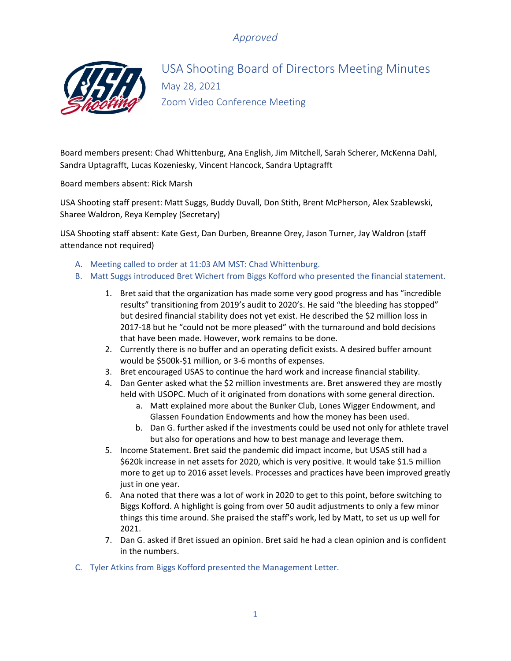# *Approved*



USA Shooting Board of Directors Meeting Minutes May 28, 2021 Zoom Video Conference Meeting

Board members present: Chad Whittenburg, Ana English, Jim Mitchell, Sarah Scherer, McKenna Dahl, Sandra Uptagrafft, Lucas Kozeniesky, Vincent Hancock, Sandra Uptagrafft

Board members absent: Rick Marsh

USA Shooting staff present: Matt Suggs, Buddy Duvall, Don Stith, Brent McPherson, Alex Szablewski, Sharee Waldron, Reya Kempley (Secretary)

USA Shooting staff absent: Kate Gest, Dan Durben, Breanne Orey, Jason Turner, Jay Waldron (staff attendance not required)

- A. Meeting called to order at 11:03 AM MST: Chad Whittenburg.
- B. Matt Suggs introduced Bret Wichert from Biggs Kofford who presented the financial statement.
	- 1. Bret said that the organization has made some very good progress and has "incredible results" transitioning from 2019's audit to 2020's. He said "the bleeding has stopped" but desired financial stability does not yet exist. He described the \$2 million loss in 2017-18 but he "could not be more pleased" with the turnaround and bold decisions that have been made. However, work remains to be done.
	- 2. Currently there is no buffer and an operating deficit exists. A desired buffer amount would be \$500k-\$1 million, or 3-6 months of expenses.
	- 3. Bret encouraged USAS to continue the hard work and increase financial stability.
	- 4. Dan Genter asked what the \$2 million investments are. Bret answered they are mostly held with USOPC. Much of it originated from donations with some general direction.
		- a. Matt explained more about the Bunker Club, Lones Wigger Endowment, and Glassen Foundation Endowments and how the money has been used.
		- b. Dan G. further asked if the investments could be used not only for athlete travel but also for operations and how to best manage and leverage them.
	- 5. Income Statement. Bret said the pandemic did impact income, but USAS still had a \$620k increase in net assets for 2020, which is very positive. It would take \$1.5 million more to get up to 2016 asset levels. Processes and practices have been improved greatly just in one year.
	- 6. Ana noted that there was a lot of work in 2020 to get to this point, before switching to Biggs Kofford. A highlight is going from over 50 audit adjustments to only a few minor things this time around. She praised the staff's work, led by Matt, to set us up well for 2021.
	- 7. Dan G. asked if Bret issued an opinion. Bret said he had a clean opinion and is confident in the numbers.
- C. Tyler Atkins from Biggs Kofford presented the Management Letter.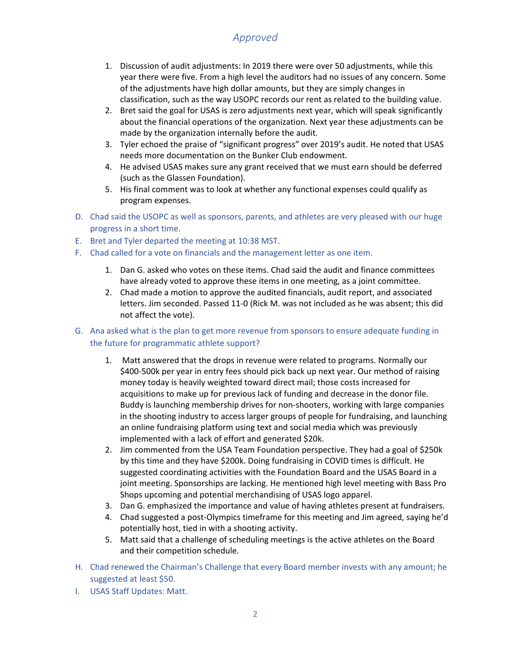# *Approved*

- 1. Discussion of audit adjustments: In 2019 there were over 50 adjustments, while this year there were five. From a high level the auditors had no issues of any concern. Some of the adjustments have high dollar amounts, but they are simply changes in classification, such as the way USOPC records our rent as related to the building value.
- 2. Bret said the goal for USAS is zero adjustments next year, which will speak significantly about the financial operations of the organization. Next year these adjustments can be made by the organization internally before the audit.
- 3. Tyler echoed the praise of "significant progress" over 2019's audit. He noted that USAS needs more documentation on the Bunker Club endowment.
- 4. He advised USAS makes sure any grant received that we must earn should be deferred (such as the Glassen Foundation).
- 5. His final comment was to look at whether any functional expenses could qualify as program expenses.
- D. Chad said the USOPC as well as sponsors, parents, and athletes are very pleased with our huge progress in a short time.
- E. Bret and Tyler departed the meeting at 10:38 MST.
- F. Chad called for a vote on financials and the management letter as one item.
	- 1. Dan G. asked who votes on these items. Chad said the audit and finance committees have already voted to approve these items in one meeting, as a joint committee.
	- 2. Chad made a motion to approve the audited financials, audit report, and associated letters. Jim seconded. Passed 11-0 (Rick M. was not included as he was absent; this did not affect the vote).

### G. Ana asked what is the plan to get more revenue from sponsors to ensure adequate funding in the future for programmatic athlete support?

- 1. Matt answered that the drops in revenue were related to programs. Normally our \$400-500k per year in entry fees should pick back up next year. Our method of raising money today is heavily weighted toward direct mail; those costs increased for acquisitions to make up for previous lack of funding and decrease in the donor file. Buddy is launching membership drives for non-shooters, working with large companies in the shooting industry to access larger groups of people for fundraising, and launching an online fundraising platform using text and social media which was previously implemented with a lack of effort and generated \$20k.
- 2. Jim commented from the USA Team Foundation perspective. They had a goal of \$250k by this time and they have \$200k. Doing fundraising in COVID times is difficult. He suggested coordinating activities with the Foundation Board and the USAS Board in a joint meeting. Sponsorships are lacking. He mentioned high level meeting with Bass Pro Shops upcoming and potential merchandising of USAS logo apparel.
- 3. Dan G. emphasized the importance and value of having athletes present at fundraisers.
- 4. Chad suggested a post-Olympics timeframe for this meeting and Jim agreed, saying he'd potentially host, tied in with a shooting activity.
- 5. Matt said that a challenge of scheduling meetings is the active athletes on the Board and their competition schedule.
- H. Chad renewed the Chairman's Challenge that every Board member invests with any amount; he suggested at least \$50.
- I. USAS Staff Updates: Matt.